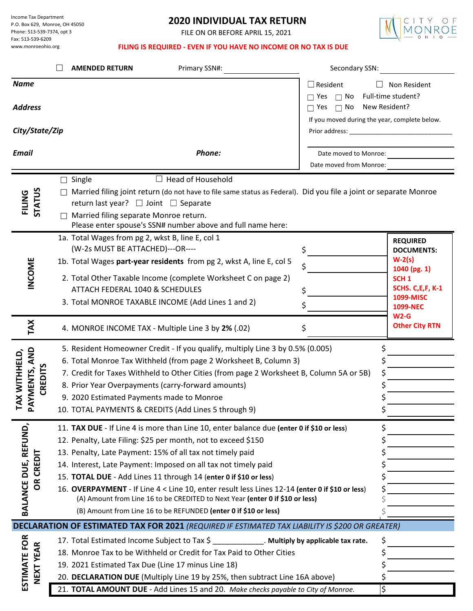Income Tax Department P.O. Box 629, Monroe, OH 45050 Phone: 513-539-7374, opt 3 Fax: 513-539-6209 www.monroeohio.org

# **2020 INDIVIDUAL TAX RETURN**

FILE ON OR BEFORE APRIL 15, 2021



## **FILING IS REQUIRED - EVEN IF YOU HAVE NO INCOME OR NO TAX IS DUE**

|                                                                   | Secondary SSN:<br>Primary SSN#:<br><b>AMENDED RETURN</b>                                                                                                                                                                                                                                                                                                                                                                                                                                                                                                                                                              |                                                                                                                                            |
|-------------------------------------------------------------------|-----------------------------------------------------------------------------------------------------------------------------------------------------------------------------------------------------------------------------------------------------------------------------------------------------------------------------------------------------------------------------------------------------------------------------------------------------------------------------------------------------------------------------------------------------------------------------------------------------------------------|--------------------------------------------------------------------------------------------------------------------------------------------|
| <b>Name</b><br><b>Address</b><br>City/State/Zip                   | $\Box$ Resident<br>$\Box$ Yes<br>$\Box$ No<br>$\Box$ Yes<br>$\Box$ No                                                                                                                                                                                                                                                                                                                                                                                                                                                                                                                                                 | Non Resident<br>Full-time student?<br>New Resident?<br>If you moved during the year, complete below.                                       |
| <b>Email</b>                                                      | Phone:<br>Date moved to Monroe:<br>Date moved from Monroe:                                                                                                                                                                                                                                                                                                                                                                                                                                                                                                                                                            |                                                                                                                                            |
| <b>STATUS</b><br>FILING                                           | $\Box$ Head of Household<br>$\Box$ Single<br>$\Box$ Married filing joint return (do not have to file same status as Federal). Did you file a joint or separate Monroe<br>return last year? $\Box$ Joint $\Box$ Separate<br>Married filing separate Monroe return.                                                                                                                                                                                                                                                                                                                                                     |                                                                                                                                            |
| INCOME                                                            | Please enter spouse's SSN# number above and full name here:<br>1a. Total Wages from pg 2, wkst B, line E, col 1<br>(W-2s MUST BE ATTACHED)---OR----<br>\$<br>1b. Total Wages part-year residents from pg 2, wkst A, line E, col 5<br>\$<br>2. Total Other Taxable Income (complete Worksheet C on page 2)<br>ATTACH FEDERAL 1040 & SCHEDULES<br>3. Total MONROE TAXABLE INCOME (Add Lines 1 and 2)                                                                                                                                                                                                                    | <b>REQUIRED</b><br><b>DOCUMENTS:</b><br>$W-2(s)$<br>1040 (pg. 1)<br>SCH <sub>1</sub><br>SCHS. C, E, F, K-1<br>1099-MISC<br><b>1099-NEC</b> |
| TAX                                                               | 4. MONROE INCOME TAX - Multiple Line 3 by 2% (.02)<br>\$                                                                                                                                                                                                                                                                                                                                                                                                                                                                                                                                                              | $W2-G$<br><b>Other City RTN</b>                                                                                                            |
| AND<br>AX WITHHELD,<br><b>CREDITS</b><br>AYMENTS,<br>$\mathbf{r}$ | 5. Resident Homeowner Credit - If you qualify, multiply Line 3 by 0.5% (0.005)<br>6. Total Monroe Tax Withheld (from page 2 Worksheet B, Column 3)<br>7. Credit for Taxes Withheld to Other Cities (from page 2 Worksheet B, Column 5A or 5B)<br>8. Prior Year Overpayments (carry-forward amounts)<br>9. 2020 Estimated Payments made to Monroe<br>10. TOTAL PAYMENTS & CREDITS (Add Lines 5 through 9)                                                                                                                                                                                                              | \$<br>\$                                                                                                                                   |
| BALANCE DUE, REFUND,<br>Ξ<br>CREI<br>≃<br>O                       | 11. TAX DUE - If Line 4 is more than Line 10, enter balance due (enter 0 if \$10 or less)<br>12. Penalty, Late Filing: \$25 per month, not to exceed \$150<br>13. Penalty, Late Payment: 15% of all tax not timely paid<br>14. Interest, Late Payment: Imposed on all tax not timely paid<br>15. TOTAL DUE - Add Lines 11 through 14 (enter 0 if \$10 or less)<br>16. OVERPAYMENT - If Line 4 < Line 10, enter result less Lines 12-14 (enter 0 if \$10 or less)<br>(A) Amount from Line 16 to be CREDITED to Next Year (enter 0 if \$10 or less)<br>(B) Amount from Line 16 to be REFUNDED (enter 0 if \$10 or less) | \$<br>\$                                                                                                                                   |
|                                                                   | <b>DECLARATION OF ESTIMATED TAX FOR 2021</b> (REQUIRED IF ESTIMATED TAX LIABILITY IS \$200 OR GREATER)                                                                                                                                                                                                                                                                                                                                                                                                                                                                                                                |                                                                                                                                            |
| ESTIMATE FOR<br>$\boldsymbol{\alpha}$<br><b>NEXT YEA</b>          | 17. Total Estimated Income Subject to Tax \$<br>Multiply by applicable tax rate.<br>18. Monroe Tax to be Withheld or Credit for Tax Paid to Other Cities<br>19. 2021 Estimated Tax Due (Line 17 minus Line 18)<br>20. DECLARATION DUE (Multiply Line 19 by 25%, then subtract Line 16A above)                                                                                                                                                                                                                                                                                                                         | \$                                                                                                                                         |
|                                                                   | 21. TOTAL AMOUNT DUE - Add Lines 15 and 20. Make checks payable to City of Monroe.                                                                                                                                                                                                                                                                                                                                                                                                                                                                                                                                    | \$                                                                                                                                         |